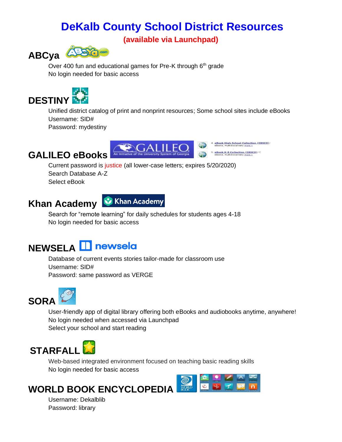### **DeKalb County School District Resources**

**(available via Launchpad)**



Over 400 fun and educational games for Pre-K through 6<sup>th</sup> grade No login needed for basic access



Unified district catalog of print and nonprint resources; Some school sites include eBooks Username: SID# Password: mydestiny

### **GALILEO eBooks**



4. eBook High School Collection (EBSCO) 5. eBook K-8 Collection (EBSCO)

Current password is justice (all lower-case letters; expires 5/20/2020) Search Database A-Z Select eBook

### **Khan Academy**



Search for "remote learning" for daily schedules for students ages 4-18 No login needed for basic access

## **NEWSELA <b>Interest**

Database of current events stories tailor-made for classroom use Username: SID# Password: same password as VERGE



User-friendly app of digital library offering both eBooks and audiobooks anytime, anywhere! No login needed when accessed via Launchpad Select your school and start reading

# **STARFALL**

Web-based integrated environment focused on teaching basic reading skills No login needed for basic access

### **WORLD BOOK ENCYCLOPEDIA**



Username: Dekalblib Password: library